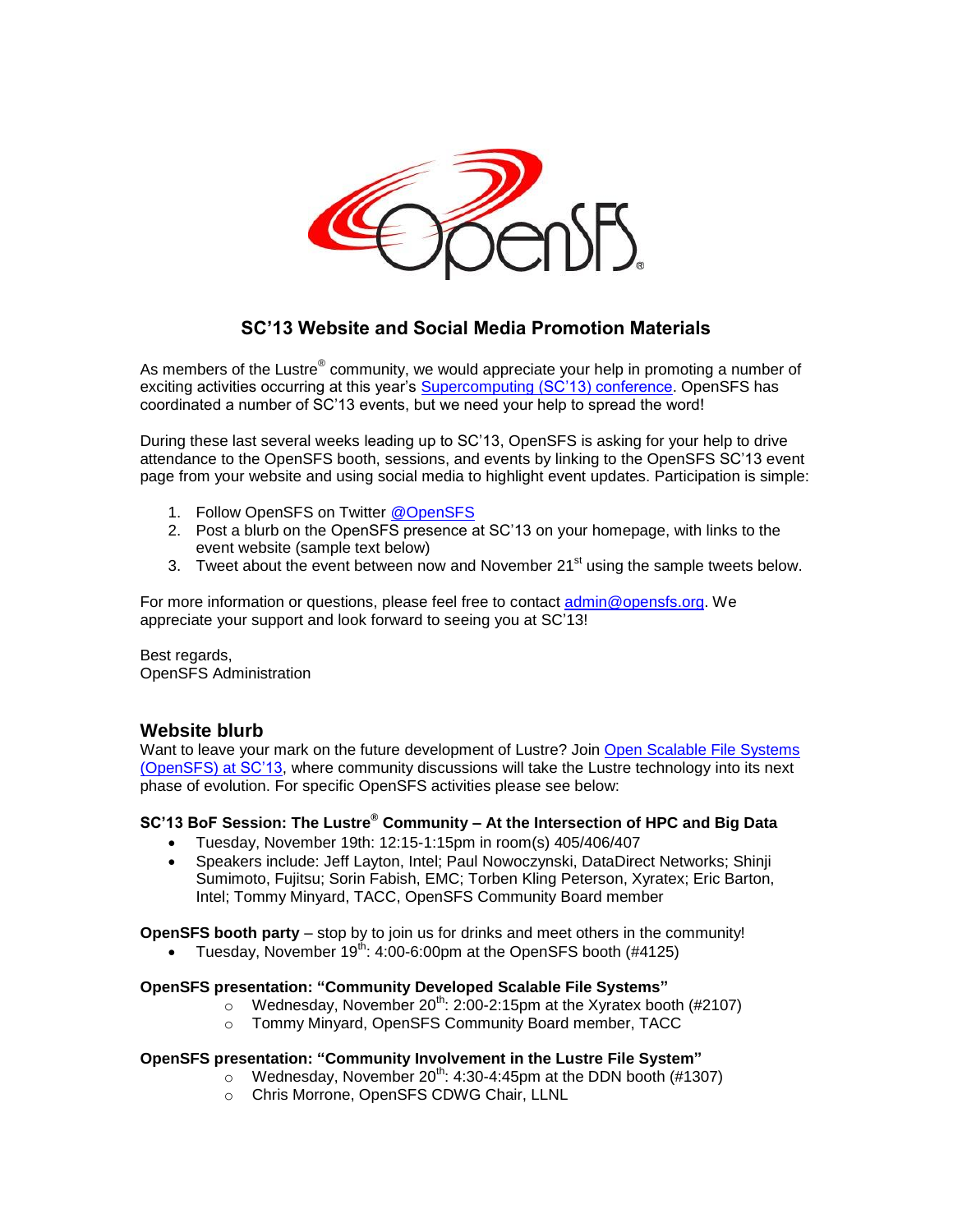

# **SC'13 Website and Social Media Promotion Materials**

As members of the Lustre® community, we would appreciate your help in promoting a number of exciting activities occurring at this year's **Supercomputing (SC'13) conference**. OpenSFS has coordinated a number of SC'13 events, but we need your help to spread the word!

During these last several weeks leading up to SC'13, OpenSFS is asking for your help to drive attendance to the OpenSFS booth, sessions, and events by linking to the OpenSFS SC'13 event page from your website and using social media to highlight event updates. Participation is simple:

- 1. Follow OpenSFS on Twitter [@OpenSFS](https://twitter.com/OpenSFS)
- 2. Post a blurb on the OpenSFS presence at SC'13 on your homepage, with links to the event website (sample text below)
- 3. Tweet about the event between now and November  $21<sup>st</sup>$  using the sample tweets below.

For more information or questions, please feel free to contact [admin@opensfs.org.](mailto:admin@opensfs.org) We appreciate your support and look forward to seeing you at SC'13!

Best regards, OpenSFS Administration

## **Website blurb**

Want to leave your mark on the future development of Lustre? Join [Open Scalable File Systems](http://www.opensfs.org/events/sc13/)  [\(OpenSFS\)](http://www.opensfs.org/events/sc13/) at SC'13, where community discussions will take the Lustre technology into its next phase of evolution. For specific OpenSFS activities please see below:

### **SC'13 BoF Session: The Lustre® Community – At the Intersection of HPC and Big Data**

- Tuesday, November 19th: 12:15-1:15pm in room(s) 405/406/407
- Speakers include: Jeff Layton, Intel; Paul Nowoczynski, DataDirect Networks; Shinji Sumimoto, Fujitsu; Sorin Fabish, EMC; Torben Kling Peterson, Xyratex; Eric Barton, Intel; Tommy Minyard, TACC, OpenSFS Community Board member

**OpenSFS booth party** – stop by to join us for drinks and meet others in the community!

Tuesday, November  $19^{th}$ : 4:00-6:00pm at the OpenSFS booth (#4125)

#### **OpenSFS presentation: "Community Developed Scalable File Systems"**

- $\degree$  Wednesday, November 20<sup>th</sup>: 2:00-2:15pm at the Xyratex booth (#2107)
- o Tommy Minyard, OpenSFS Community Board member, TACC

#### **OpenSFS presentation: "Community Involvement in the Lustre File System"**

- $\circ$  Wednesday, November 20<sup>th</sup>: 4:30-4:45pm at the DDN booth (#1307)
- o Chris Morrone, OpenSFS CDWG Chair, LLNL